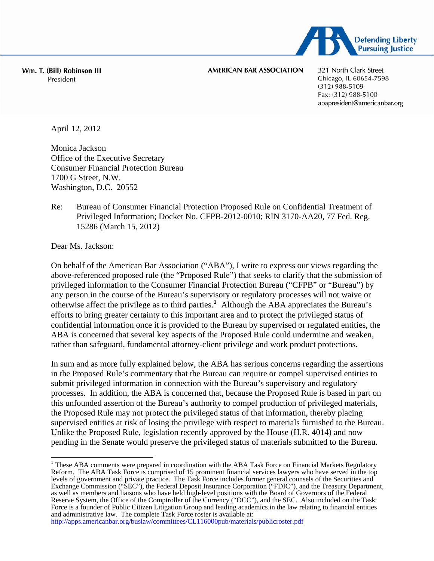

Wm. T. (Bill) Robinson III President

**AMERICAN BAR ASSOCIATION** 

321 North Clark Street Chicago, IL 60654-7598  $(312)$  988-5109 Fax: (312) 988-5100 abapresident@americanbar.org

April 12, 2012

Monica Jackson Office of the Executive Secretary Consumer Financial Protection Bureau 1700 G Street, N.W. Washington, D.C. 20552

## Re: Bureau of Consumer Financial Protection Proposed Rule on Confidential Treatment of Privileged Information; Docket No. CFPB-2012-0010; RIN 3170-AA20, 77 Fed. Reg. 15286 (March 15, 2012)

Dear Ms. Jackson:

On behalf of the American Bar Association ("ABA"), I write to express our views regarding the above-referenced proposed rule (the "Proposed Rule") that seeks to clarify that the submission of privileged information to the Consumer Financial Protection Bureau ("CFPB" or "Bureau") by any person in the course of the Bureau's supervisory or regulatory processes will not waive or otherwise affect the privilege as to third parties.<sup>[1](#page-0-0)</sup> Although the ABA appreciates the Bureau's efforts to bring greater certainty to this important area and to protect the privileged status of confidential information once it is provided to the Bureau by supervised or regulated entities, the ABA is concerned that several key aspects of the Proposed Rule could undermine and weaken, rather than safeguard, fundamental attorney-client privilege and work product protections.

In sum and as more fully explained below, the ABA has serious concerns regarding the assertions in the Proposed Rule's commentary that the Bureau can require or compel supervised entities to submit privileged information in connection with the Bureau's supervisory and regulatory processes. In addition, the ABA is concerned that, because the Proposed Rule is based in part on this unfounded assertion of the Bureau's authority to compel production of privileged materials, the Proposed Rule may not protect the privileged status of that information, thereby placing supervised entities at risk of losing the privilege with respect to materials furnished to the Bureau. Unlike the Proposed Rule, legislation recently approved by the House (H.R. 4014) and now pending in the Senate would preserve the privileged status of materials submitted to the Bureau.

<http://apps.americanbar.org/buslaw/committees/CL116000pub/materials/publicroster.pdf>

<span id="page-0-0"></span>These ABA comments were prepared in coordination with the ABA Task Force on Financial Markets Regulatory Reform. The ABA Task Force is comprised of 15 prominent financial services lawyers who have served in the top levels of government and private practice. The Task Force includes former general counsels of the Securities and Exchange Commission ("SEC"), the Federal Deposit Insurance Corporation ("FDIC"), and the Treasury Department, as well as members and liaisons who have held high-level positions with the Board of Governors of the Federal Reserve System, the Office of the Comptroller of the Currency ("OCC"), and the SEC. Also included on the Task Force is a founder of Public Citizen Litigation Group and leading academics in the law relating to financial entities and administrative law. The complete Task Force roster is available at: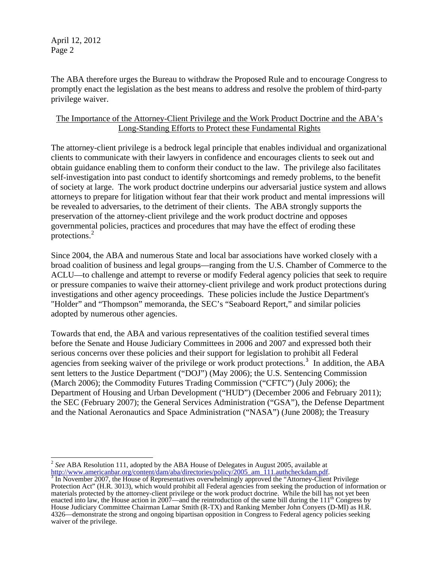The ABA therefore urges the Bureau to withdraw the Proposed Rule and to encourage Congress to promptly enact the legislation as the best means to address and resolve the problem of third-party privilege waiver.

## The Importance of the Attorney-Client Privilege and the Work Product Doctrine and the ABA's Long-Standing Efforts to Protect these Fundamental Rights

The attorney-client privilege is a bedrock legal principle that enables individual and organizational clients to communicate with their lawyers in confidence and encourages clients to seek out and obtain guidance enabling them to conform their conduct to the law. The privilege also facilitates self-investigation into past conduct to identify shortcomings and remedy problems, to the benefit of society at large. The work product doctrine underpins our adversarial justice system and allows attorneys to prepare for litigation without fear that their work product and mental impressions will be revealed to adversaries, to the detriment of their clients. The ABA strongly supports the preservation of the attorney-client privilege and the work product doctrine and opposes governmental policies, practices and procedures that may have the effect of eroding these protections.[2](#page-1-0)

Since 2004, the ABA and numerous State and local bar associations have worked closely with a broad coalition of business and legal groups—ranging from the U.S. Chamber of Commerce to the ACLU—to challenge and attempt to reverse or modify Federal agency policies that seek to require or pressure companies to waive their attorney-client privilege and work product protections during investigations and other agency proceedings. These policies include the Justice Department's "Holder" and "Thompson" memoranda, the SEC's "Seaboard Report," and similar policies adopted by numerous other agencies.

Towards that end, the ABA and various representatives of the coalition testified several times before the Senate and House Judiciary Committees in 2006 and 2007 and expressed both their serious concerns over these policies and their support for legislation to prohibit all Federal agencies from seeking waiver of the privilege or work product protections.<sup>[3](#page-1-1)</sup> In addition, the ABA sent letters to the Justice Department ("DOJ") (May 2006); the U.S. Sentencing Commission (March 2006); the Commodity Futures Trading Commission ("CFTC") (July 2006); the Department of Housing and Urban Development ("HUD") (December 2006 and February 2011); the SEC (February 2007); the General Services Administration ("GSA"), the Defense Department and the National Aeronautics and Space Administration ("NASA") (June 2008); the Treasury

 $\overline{a}$ <sup>2</sup> *See* ABA Resolution 111, adopted by the ABA House of Delegates in August 2005, available at

<span id="page-1-1"></span><span id="page-1-0"></span>[http://www.americanbar.org/content/dam/aba/directories/policy/2005\\_am\\_111.authcheckdam.pdf.](http://www.americanbar.org/content/dam/aba/directories/policy/2005_am_111.authcheckdam.pdf)<br><sup>[3](http://www.americanbar.org/content/dam/aba/directories/policy/2005_am_111.authcheckdam.pdf)</sup> In November 2007, the House of Representatives overwhelmingly approved the "Attorney-Client Privilege Protection Act" (H.R. 3013), which would prohibit all Federal agencies from seeking the production of information or materials protected by the attorney-client privilege or the work product doctrine. While the bill has not yet been enacted into law, the House action in 2007—and the reintroduction of the same bill during the  $11<sup>th</sup>$  Congress by House Judiciary Committee Chairman Lamar Smith (R-TX) and Ranking Member John Conyers (D-MI) as H.R. 4326—demonstrate the strong and ongoing bipartisan opposition in Congress to Federal agency policies seeking waiver of the privilege.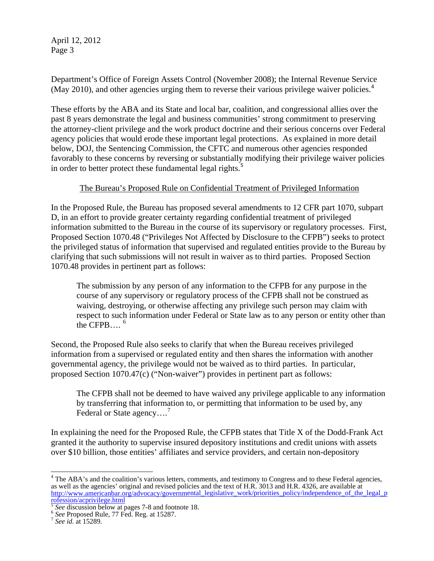Department's Office of Foreign Assets Control (November 2008); the Internal Revenue Service (May 2010), and other agencies urging them to reverse their various privilege waiver policies.<sup>[4](#page-2-0)</sup>

These efforts by the ABA and its State and local bar, coalition, and congressional allies over the past 8 years demonstrate the legal and business communities' strong commitment to preserving the attorney-client privilege and the work product doctrine and their serious concerns over Federal agency policies that would erode these important legal protections. As explained in more detail below, DOJ, the Sentencing Commission, the CFTC and numerous other agencies responded favorably to these concerns by reversing or substantially modifying their privilege waiver policies in order to better protect these fundamental legal rights.<sup>[5](#page-2-1)</sup>

## The Bureau's Proposed Rule on Confidential Treatment of Privileged Information

In the Proposed Rule, the Bureau has proposed several amendments to 12 CFR part 1070, subpart D, in an effort to provide greater certainty regarding confidential treatment of privileged information submitted to the Bureau in the course of its supervisory or regulatory processes. First, Proposed Section 1070.48 ("Privileges Not Affected by Disclosure to the CFPB") seeks to protect the privileged status of information that supervised and regulated entities provide to the Bureau by clarifying that such submissions will not result in waiver as to third parties. Proposed Section 1070.48 provides in pertinent part as follows:

The submission by any person of any information to the CFPB for any purpose in the course of any supervisory or regulatory process of the CFPB shall not be construed as waiving, destroying, or otherwise affecting any privilege such person may claim with respect to such information under Federal or State law as to any person or entity other than the CFPB.... $^6$  $^6$ 

Second, the Proposed Rule also seeks to clarify that when the Bureau receives privileged information from a supervised or regulated entity and then shares the information with another governmental agency, the privilege would not be waived as to third parties. In particular, proposed Section 1070.47(c) ("Non-waiver") provides in pertinent part as follows:

The CFPB shall not be deemed to have waived any privilege applicable to any information by transferring that information to, or permitting that information to be used by, any Federal or State agency....<sup>[7](#page-2-3)</sup>

In explaining the need for the Proposed Rule, the CFPB states that Title X of the Dodd-Frank Act granted it the authority to supervise insured depository institutions and credit unions with assets over \$10 billion, those entities' affiliates and service providers, and certain non-depository

<span id="page-2-0"></span><sup>&</sup>lt;sup>4</sup> The ABA's and the coalition's various letters, comments, and testimony to Congress and to these Federal agencies, as well as the agencies' original and revised policies and the text of H.R. 3013 and H.R. 4326, are available at [http://www.americanbar.org/advocacy/governmental\\_legislative\\_work/priorities\\_policy/independence\\_of\\_the\\_legal\\_p](http://www.americanbar.org/advocacy/governmental_legislative_work/priorities_policy/independence_of_the_legal_profession/acprivilege.html) [rofession/acprivilege.html](http://www.americanbar.org/advocacy/governmental_legislative_work/priorities_policy/independence_of_the_legal_profession/acprivilege.html)<br> $\frac{5}{3}$  See discussion below at pages 7-8 and footnote 18.

<span id="page-2-1"></span>

<span id="page-2-2"></span><sup>&</sup>lt;sup>6</sup> See Proposed Rule, 77 Fed. Reg. at 15287.<br><sup>7</sup> See id. at 15289.

<span id="page-2-3"></span>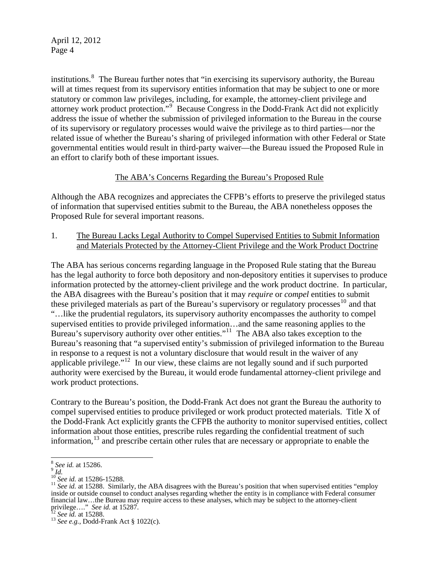institutions.<sup>[8](#page-3-0)</sup> The Bureau further notes that "in exercising its supervisory authority, the Bureau will at times request from its supervisory entities information that may be subject to one or more statutory or common law privileges, including, for example, the attorney-client privilege and attorney work product protection."<sup>[9](#page-3-1)</sup> Because Congress in the Dodd-Frank Act did not explicitly address the issue of whether the submission of privileged information to the Bureau in the course of its supervisory or regulatory processes would waive the privilege as to third parties—nor the related issue of whether the Bureau's sharing of privileged information with other Federal or State governmental entities would result in third-party waiver—the Bureau issued the Proposed Rule in an effort to clarify both of these important issues.

# The ABA's Concerns Regarding the Bureau's Proposed Rule

Although the ABA recognizes and appreciates the CFPB's efforts to preserve the privileged status of information that supervised entities submit to the Bureau, the ABA nonetheless opposes the Proposed Rule for several important reasons.

1. The Bureau Lacks Legal Authority to Compel Supervised Entities to Submit Information and Materials Protected by the Attorney-Client Privilege and the Work Product Doctrine

The ABA has serious concerns regarding language in the Proposed Rule stating that the Bureau has the legal authority to force both depository and non-depository entities it supervises to produce information protected by the attorney-client privilege and the work product doctrine. In particular, the ABA disagrees with the Bureau's position that it may *require* or *compel* entities to submit these privileged materials as part of the Bureau's supervisory or regulatory processes<sup>[10](#page-3-2)</sup> and that "…like the prudential regulators, its supervisory authority encompasses the authority to compel supervised entities to provide privileged information…and the same reasoning applies to the Bureau's supervisory authority over other entities."<sup>[11](#page-3-3)</sup> The ABA also takes exception to the Bureau's reasoning that "a supervised entity's submission of privileged information to the Bureau in response to a request is not a voluntary disclosure that would result in the waiver of any applicable privilege."[12](#page-3-4) In our view, these claims are not legally sound and if such purported authority were exercised by the Bureau, it would erode fundamental attorney-client privilege and work product protections.

Contrary to the Bureau's position, the Dodd-Frank Act does not grant the Bureau the authority to compel supervised entities to produce privileged or work product protected materials. Title X of the Dodd-Frank Act explicitly grants the CFPB the authority to monitor supervised entities, collect information about those entities, prescribe rules regarding the confidential treatment of such information, $^{13}$  $^{13}$  $^{13}$  and prescribe certain other rules that are necessary or appropriate to enable the

 $\overline{a}$ 

<span id="page-3-3"></span><span id="page-3-2"></span>

<span id="page-3-1"></span><span id="page-3-0"></span><sup>&</sup>lt;sup>8</sup> *See id.* at 15286.<br><sup>9</sup> *Id.*<br><sup>10</sup> *See id.* at 15286-15288.<br><sup>11</sup> *See id.* at 15288. Similarly, the ABA disagrees with the Bureau's position that when supervised entities "employ inside or outside counsel to conduct analyses regarding whether the entity is in compliance with Federal consumer financial law…the Bureau may require access to these analyses, which may be subject to the attorney-client privilege…." See id. at 15287.

<span id="page-3-5"></span><span id="page-3-4"></span>privilege…." *See id.* at 15287. 12 *See id.* at 15288. 13 *See e.g.*, Dodd-Frank Act § 1022(c).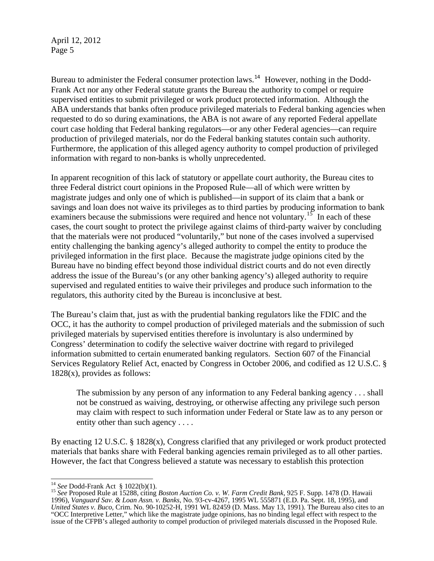Bureau to administer the Federal consumer protection laws.<sup>[14](#page-4-0)</sup> However, nothing in the Dodd-Frank Act nor any other Federal statute grants the Bureau the authority to compel or require supervised entities to submit privileged or work product protected information. Although the ABA understands that banks often produce privileged materials to Federal banking agencies when requested to do so during examinations, the ABA is not aware of any reported Federal appellate court case holding that Federal banking regulators—or any other Federal agencies—can require production of privileged materials, nor do the Federal banking statutes contain such authority. Furthermore, the application of this alleged agency authority to compel production of privileged information with regard to non-banks is wholly unprecedented.

In apparent recognition of this lack of statutory or appellate court authority, the Bureau cites to three Federal district court opinions in the Proposed Rule—all of which were written by magistrate judges and only one of which is published—in support of its claim that a bank or savings and loan does not waive its privileges as to third parties by producing information to bank examiners because the submissions were required and hence not voluntary.<sup>[15](#page-4-1)</sup> In each of these cases, the court sought to protect the privilege against claims of third-party waiver by concluding that the materials were not produced "voluntarily," but none of the cases involved a supervised entity challenging the banking agency's alleged authority to compel the entity to produce the privileged information in the first place. Because the magistrate judge opinions cited by the Bureau have no binding effect beyond those individual district courts and do not even directly address the issue of the Bureau's (or any other banking agency's) alleged authority to require supervised and regulated entities to waive their privileges and produce such information to the regulators, this authority cited by the Bureau is inconclusive at best.

The Bureau's claim that, just as with the prudential banking regulators like the FDIC and the OCC, it has the authority to compel production of privileged materials and the submission of such privileged materials by supervised entities therefore is involuntary is also undermined by Congress' determination to codify the selective waiver doctrine with regard to privileged information submitted to certain enumerated banking regulators. Section 607 of the Financial Services Regulatory Relief Act, enacted by Congress in October 2006, and codified as 12 U.S.C. § 1828(x), provides as follows:

The submission by any person of any information to any Federal banking agency . . . shall not be construed as waiving, destroying, or otherwise affecting any privilege such person may claim with respect to such information under Federal or State law as to any person or entity other than such agency . . . .

By enacting 12 U.S.C.  $\S$  1828(x), Congress clarified that any privileged or work product protected materials that banks share with Federal banking agencies remain privileged as to all other parties. However, the fact that Congress believed a statute was necessary to establish this protection

<sup>&</sup>lt;sup>14</sup> See Dodd-Frank Act  $$ 1022(b)(1)$ .

<span id="page-4-1"></span><span id="page-4-0"></span><sup>&</sup>lt;sup>15</sup> See Proposed Rule at 15288, citing *Boston Auction Co. v. W. Farm Credit Bank*, 925 F. Supp. 1478 (D. Hawaii 1996), *Vanguard Sav. & Loan Assn. v. Banks,* No. 93-cv-4267, 1995 WL 555871 (E.D. Pa. Sept. 18, 1995), and *United States v. Buco,* Crim. No. 90-10252-H, 1991 WL 82459 (D. Mass. May 13, 1991). The Bureau also cites to an "OCC Interpretive Letter," which like the magistrate judge opinions, has no binding legal effect with respect to the issue of the CFPB's alleged authority to compel production of privileged materials discussed in the Proposed Rule.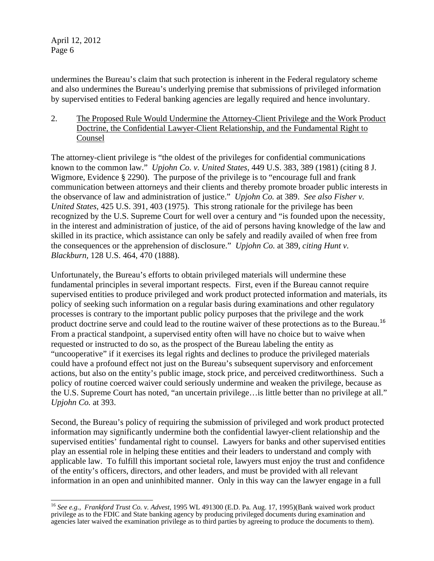undermines the Bureau's claim that such protection is inherent in the Federal regulatory scheme and also undermines the Bureau's underlying premise that submissions of privileged information by supervised entities to Federal banking agencies are legally required and hence involuntary.

2. The Proposed Rule Would Undermine the Attorney-Client Privilege and the Work Product Doctrine, the Confidential Lawyer-Client Relationship, and the Fundamental Right to Counsel

The attorney-client privilege is "the oldest of the privileges for confidential communications known to the common law." *Upjohn Co. v. United States,* 449 U.S. 383, 389 (1981) (citing 8 J. Wigmore, Evidence § 2290). The purpose of the privilege is to "encourage full and frank communication between attorneys and their clients and thereby promote broader public interests in the observance of law and administration of justice." *Upjohn Co.* at 389. *See also Fisher v. United States,* 425 U.S. 391, 403 (1975). This strong rationale for the privilege has been recognized by the U.S. Supreme Court for well over a century and "is founded upon the necessity, in the interest and administration of justice, of the aid of persons having knowledge of the law and skilled in its practice, which assistance can only be safely and readily availed of when free from the consequences or the apprehension of disclosure." *Upjohn Co.* at 389*, citing Hunt v. Blackburn,* 128 U.S. 464, 470 (1888).

Unfortunately, the Bureau's efforts to obtain privileged materials will undermine these fundamental principles in several important respects. First, even if the Bureau cannot require supervised entities to produce privileged and work product protected information and materials, its policy of seeking such information on a regular basis during examinations and other regulatory processes is contrary to the important public policy purposes that the privilege and the work product doctrine serve and could lead to the routine waiver of these protections as to the Bureau.<sup>[16](#page-5-0)</sup> From a practical standpoint, a supervised entity often will have no choice but to waive when requested or instructed to do so, as the prospect of the Bureau labeling the entity as "uncooperative" if it exercises its legal rights and declines to produce the privileged materials could have a profound effect not just on the Bureau's subsequent supervisory and enforcement actions, but also on the entity's public image, stock price, and perceived creditworthiness. Such a policy of routine coerced waiver could seriously undermine and weaken the privilege, because as the U.S. Supreme Court has noted, "an uncertain privilege…is little better than no privilege at all." *Upjohn Co.* at 393.

Second, the Bureau's policy of requiring the submission of privileged and work product protected information may significantly undermine both the confidential lawyer-client relationship and the supervised entities' fundamental right to counsel. Lawyers for banks and other supervised entities play an essential role in helping these entities and their leaders to understand and comply with applicable law. To fulfill this important societal role, lawyers must enjoy the trust and confidence of the entity's officers, directors, and other leaders, and must be provided with all relevant information in an open and uninhibited manner. Only in this way can the lawyer engage in a full

<span id="page-5-0"></span> $\overline{a}$ <sup>16</sup> *See e.g., Frankford Trust Co. v. Advest,* 1995 WL 491300 (E.D. Pa. Aug. 17, 1995)(Bank waived work product privilege as to the FDIC and State banking agency by producing privileged documents during examination and agencies later waived the examination privilege as to third parties by agreeing to produce the documents to them).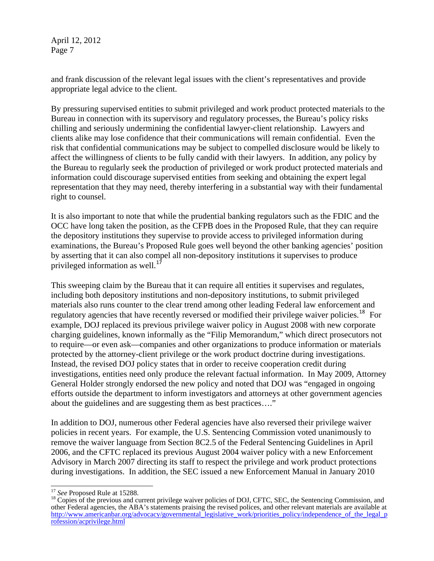and frank discussion of the relevant legal issues with the client's representatives and provide appropriate legal advice to the client.

By pressuring supervised entities to submit privileged and work product protected materials to the Bureau in connection with its supervisory and regulatory processes, the Bureau's policy risks chilling and seriously undermining the confidential lawyer-client relationship. Lawyers and clients alike may lose confidence that their communications will remain confidential. Even the risk that confidential communications may be subject to compelled disclosure would be likely to affect the willingness of clients to be fully candid with their lawyers. In addition, any policy by the Bureau to regularly seek the production of privileged or work product protected materials and information could discourage supervised entities from seeking and obtaining the expert legal representation that they may need, thereby interfering in a substantial way with their fundamental right to counsel.

It is also important to note that while the prudential banking regulators such as the FDIC and the OCC have long taken the position, as the CFPB does in the Proposed Rule, that they can require the depository institutions they supervise to provide access to privileged information during examinations, the Bureau's Proposed Rule goes well beyond the other banking agencies' position by asserting that it can also compel all non-depository institutions it supervises to produce privileged information as well.<sup>[17](#page-6-0)</sup>

This sweeping claim by the Bureau that it can require all entities it supervises and regulates, including both depository institutions and non-depository institutions, to submit privileged materials also runs counter to the clear trend among other leading Federal law enforcement and regulatory agencies that have recently reversed or modified their privilege waiver policies.<sup>[18](#page-6-1)</sup> For example, DOJ replaced its previous privilege waiver policy in August 2008 with new corporate charging guidelines, known informally as the "Filip Memorandum," which direct prosecutors not to require—or even ask—companies and other organizations to produce information or materials protected by the attorney-client privilege or the work product doctrine during investigations. Instead, the revised DOJ policy states that in order to receive cooperation credit during investigations, entities need only produce the relevant factual information. In May 2009, Attorney General Holder strongly endorsed the new policy and noted that DOJ was "engaged in ongoing efforts outside the department to inform investigators and attorneys at other government agencies about the guidelines and are suggesting them as best practices…."

In addition to DOJ, numerous other Federal agencies have also reversed their privilege waiver policies in recent years. For example, the U.S. Sentencing Commission voted unanimously to remove the waiver language from Section 8C2.5 of the Federal Sentencing Guidelines in April 2006, and the CFTC replaced its previous August 2004 waiver policy with a new Enforcement Advisory in March 2007 directing its staff to respect the privilege and work product protections during investigations. In addition, the SEC issued a new Enforcement Manual in January 2010

 $\overline{\phantom{a}}$ 

<span id="page-6-1"></span><span id="page-6-0"></span><sup>&</sup>lt;sup>17</sup> *See* Proposed Rule at 15288.<br><sup>18</sup> Copies of the previous and current privilege waiver policies of DOJ, CFTC, SEC, the Sentencing Commission, and other Federal agencies, the ABA's statements praising the revised polices, and other relevant materials are available at [http://www.americanbar.org/advocacy/governmental\\_legislative\\_work/priorities\\_policy/independence\\_of\\_the\\_legal\\_p](http://www.americanbar.org/advocacy/governmental_legislative_work/priorities_policy/independence_of_the_legal_profession/acprivilege.html) [rofession/acprivilege.html](http://www.americanbar.org/advocacy/governmental_legislative_work/priorities_policy/independence_of_the_legal_profession/acprivilege.html)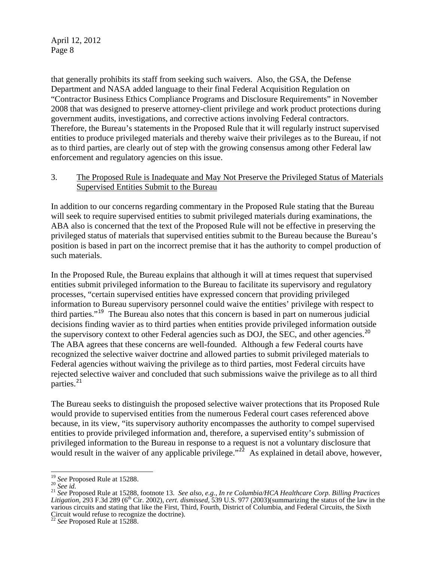that generally prohibits its staff from seeking such waivers. Also, the GSA, the Defense Department and NASA added language to their final Federal Acquisition Regulation on "Contractor Business Ethics Compliance Programs and Disclosure Requirements" in November 2008 that was designed to preserve attorney-client privilege and work product protections during government audits, investigations, and corrective actions involving Federal contractors. Therefore, the Bureau's statements in the Proposed Rule that it will regularly instruct supervised entities to produce privileged materials and thereby waive their privileges as to the Bureau, if not as to third parties, are clearly out of step with the growing consensus among other Federal law enforcement and regulatory agencies on this issue.

### 3. The Proposed Rule is Inadequate and May Not Preserve the Privileged Status of Materials Supervised Entities Submit to the Bureau

In addition to our concerns regarding commentary in the Proposed Rule stating that the Bureau will seek to require supervised entities to submit privileged materials during examinations, the ABA also is concerned that the text of the Proposed Rule will not be effective in preserving the privileged status of materials that supervised entities submit to the Bureau because the Bureau's position is based in part on the incorrect premise that it has the authority to compel production of such materials.

In the Proposed Rule, the Bureau explains that although it will at times request that supervised entities submit privileged information to the Bureau to facilitate its supervisory and regulatory processes, "certain supervised entities have expressed concern that providing privileged information to Bureau supervisory personnel could waive the entities' privilege with respect to third parties."[19](#page-7-0) The Bureau also notes that this concern is based in part on numerous judicial decisions finding wavier as to third parties when entities provide privileged information outside the supervisory context to other Federal agencies such as DOJ, the SEC, and other agencies.<sup>[20](#page-7-1)</sup> The ABA agrees that these concerns are well-founded. Although a few Federal courts have recognized the selective waiver doctrine and allowed parties to submit privileged materials to Federal agencies without waiving the privilege as to third parties, most Federal circuits have rejected selective waiver and concluded that such submissions waive the privilege as to all third parties.<sup>21</sup>

The Bureau seeks to distinguish the proposed selective waiver protections that its Proposed Rule because, in its view, "its supervisory authority encompasses the authority to compel supervised would result in the waiver of any applicable privilege."<sup>[22](#page-7-2)</sup> As explained in detail above, however, would provide to supervised entities from the numerous Federal court cases referenced above entities to provide privileged information and, therefore, a supervised entity's submission of privileged information to the Bureau in response to a request is not a voluntary disclosure that

<sup>&</sup>lt;sup>19</sup> See Proposed Rule at 15288.

<span id="page-7-1"></span><span id="page-7-0"></span><sup>19</sup> *See* Proposed Rule at 15288. 20 *See id.* <sup>21</sup> *See* Proposed Rule at 15288, footnote 13. *See also, e.g., In re Columbia/HCA Healthcare Corp. Billing Practices Litigation,* 293 F.3d 289 (6th Cir. 2002), *cert. dismissed,* 539 U.S. 977 (2003)(summarizing the status of the law in the various circuits and stating that like the First, Third, Fourth, District of Columbia, and Federal Circuits, the Sixth Circuit would refuse to recognize the doctrine).

<span id="page-7-2"></span>See Proposed Rule at 15288.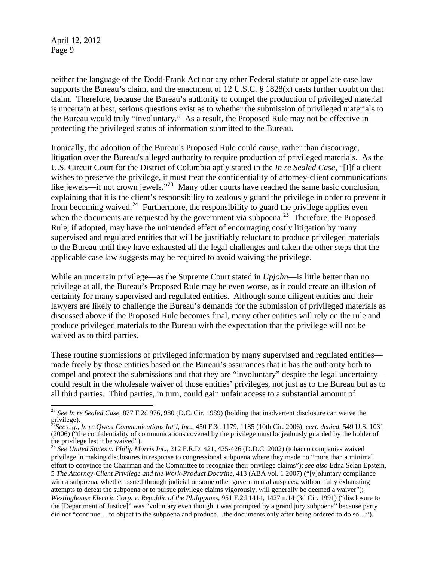is uncertain at best, serious questions exist as to whether the submission of privileged materials to the Bureau would truly "involuntary." As a result, the Proposed Rule may not be effective in protecting the privileged status of information submitted to the Bureau. neither the language of the Dodd-Frank Act nor any other Federal statute or appellate case law supports the Bureau's claim, and the enactment of 12 U.S.C.  $\S$  1828(x) casts further doubt on that claim. Therefore, because the Bureau's authority to compel the production of privileged material

wishes to preserve the privilege, it must treat the confidentiality of attorney-client communications to the Bureau until they have exhausted all the legal challenges and taken the other steps that the applicable case law suggests may be required to avoid waiving the privilege. Ironically, the adoption of the Bureau's Proposed Rule could cause, rather than discourage, litigation over the Bureau's alleged authority to require production of privileged materials. As the U.S. Circuit Court for the District of Columbia aptly stated in the *In re Sealed Case*, "[I]f a client like jewels—if not crown jewels."<sup>[23](#page-8-0)</sup> Many other courts have reached the same basic conclusion, explaining that it is the client's responsibility to zealously guard the privilege in order to prevent it from becoming waived.<sup>[24](#page-8-1)</sup> Furthermore, the responsibility to guard the privilege applies even when the documents are requested by the government via subpoena.<sup>[25](#page-8-2)</sup> Therefore, the Proposed Rule, if adopted, may have the unintended effect of encouraging costly litigation by many supervised and regulated entities that will be justifiably reluctant to produce privileged materials

discussed above if the Proposed Rule becomes final, many other entities will rely on the rule and produce privileged materials to the Bureau with the expectation that the privilege will not be waived as to third parties. While an uncertain privilege—as the Supreme Court stated in *Upjohn*—is little better than no privilege at all, the Bureau's Proposed Rule may be even worse, as it could create an illusion of certainty for many supervised and regulated entities. Although some diligent entities and their lawyers are likely to challenge the Bureau's demands for the submission of privileged materials as

— These routine submissions of privileged information by many supervised and regulated entities could result in the wholesale waiver of those entities' privileges, not just as to the Bureau but as to made freely by those entities based on the Bureau's assurances that it has the authority both to compel and protect the submissions and that they are "involuntary" despite the legal uncertainty all third parties. Third parties, in turn, could gain unfair access to a substantial amount of

<span id="page-8-0"></span> $\overline{a}$ <sup>23</sup> *See In re Sealed Case*, 877 F.2d 976, 980 (D.C. Cir. 1989) (holding that inadvertent disclosure can waive the privilege).

<span id="page-8-1"></span><sup>24</sup>*See e.g., In re Qwest Communications Int'l, Inc.*, 450 F.3d 1179, 1185 (10th Cir. 2006), *cert. denied,* 549 U.S. 1031 (2006) ("the confidentiality of communications covered by the privilege must be jealously guarded by the holder of the privilege lest it be waived").

<span id="page-8-2"></span><sup>&</sup>lt;sup>25</sup> See United States v. Philip Morris Inc., 212 F.R.D. 421, 425-426 (D.D.C. 2002) (tobacco companies waived privilege in making disclosures in response to congressional subpoena where they made no "more than a minimal effort to convince the Chairman and the Committee to recognize their privilege claims"); *see also* Edna Selan Epstein, 5 *The Attorney-Client Privilege and the Work-Product Doctrine*, 413 (ABA vol. 1 2007) ("[v]oluntary compliance with a subpoena, whether issued through judicial or some other governmental auspices, without fully exhausting attempts to defeat the subpoena or to pursue privilege claims vigorously, will generally be deemed a waiver"); *Westinghouse Electric Corp. v. Republic of the Philippines*, 951 F.2d 1414, 1427 n.14 (3d Cir. 1991) ("disclosure to the [Department of Justice]" was "voluntary even though it was prompted by a grand jury subpoena" because party did not "continue… to object to the subpoena and produce…the documents only after being ordered to do so…").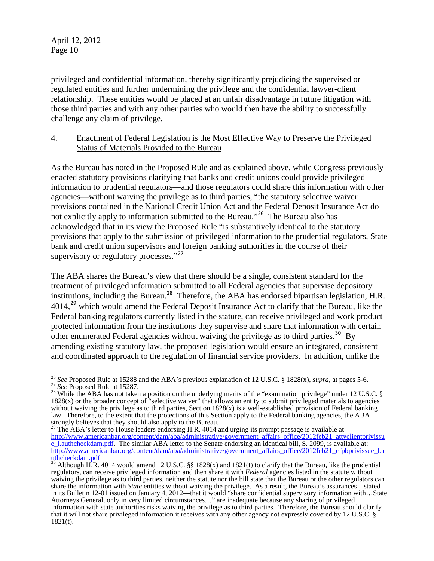those third parties and with any other parties who would then have the ability to successfully challenge any claim of privilege. privileged and confidential information, thereby significantly prejudicing the supervised or regulated entities and further undermining the privilege and the confidential lawyer-client relationship. These entities would be placed at an unfair disadvantage in future litigation with

### 4. Enactment of Federal Legislation is the Most Effective Way to Preserve the Privileged Status of Materials Provided to the Bureau

As the Bureau has noted in the Proposed Rule and as explained above, while Congress previously information to prudential regulators—and those regulators could share this information with other provisions contained in the National Credit Union Act and the Federal Deposit Insurance Act do provisions that apply to the submission of privileged information to the prudential regulators, State bank and credit union supervisors and foreign banking authorities in the course of their supervisory or regulatory processes."<sup>27</sup> enacted statutory provisions clarifying that banks and credit unions could provide privileged agencies—without waiving the privilege as to third parties, "the statutory selective waiver not explicitly apply to information submitted to the Bureau."<sup>[26](#page-9-0)</sup> The Bureau also has acknowledged that in its view the Proposed Rule "is substantively identical to the statutory

protected information from the institutions they supervise and share that information with certain and coordinated approach to the regulation of financial service providers. In addition, unlike the The ABA shares the Bureau's view that there should be a single, consistent standard for the treatment of privileged information submitted to all Federal agencies that supervise depository institutions, including the Bureau.<sup>[28](#page-9-1)</sup> Therefore, the ABA has endorsed bipartisan legislation, H.R. 4014,<sup>[29](#page-9-2)</sup> which would amend the Federal Deposit Insurance Act to clarify that the Bureau, like the Federal banking regulators currently listed in the statute, can receive privileged and work product other enumerated Federal agencies without waiving the privilege as to third parties.<sup>[30](#page-9-3)</sup> By amending existing statutory law, the proposed legislation would ensure an integrated, consistent

<span id="page-9-0"></span><sup>&</sup>lt;sup>26</sup> See Proposed Rule at 15288 and the ABA's previous explanation of 12 U.S.C. § 1828(x), *supra*, at pages 5-6. <sup>26</sup> See Proposed Rule at 15288 and the ABA's previous explanation of 12 U.S.C. § 1828(x), *supra*, at pages 5-6.<br><sup>27</sup> See Proposed Rule at 15287.<br><sup>28</sup> While the ABA has not taken a position on the underlying merits of th

<span id="page-9-1"></span> $1828(x)$  or the broader concept of "selective waiver" that allows an entity to submit privileged materials to agencies without waiving the privilege as to third parties, Section  $1828(x)$  is a well-established provision of Federal banking law. Therefore, to the extent that the protections of this Section apply to the Federal banking agencies, the ABA strongly believes that they should also apply to the Bureau.

<span id="page-9-2"></span> $^{29}$  The ABA's letter to House leaders endorsing H.R. 4014 and urging its prompt passage is available at [http://www.americanbar.org/content/dam/aba/administrative/government\\_affairs\\_office/2012feb21\\_attyclientprivissu](http://www.americanbar.org/content/dam/aba/administrative/government_affairs_office/2012feb21_attyclientprivissue_l.authcheckdam.pdf) e Lauthcheckdam.pdf. The similar ABA letter to the Senate endorsing an identical bill, S. 2099, is available at: [http://www.americanbar.org/content/dam/aba/administrative/government\\_affairs\\_office/2012feb21\\_cfpbprivissue\\_l.a](http://www.americanbar.org/content/dam/aba/administrative/government_affairs_office/2012feb21_cfpbprivissue_l.authcheckdam.pdf) [uthcheckdam.pdf](http://www.americanbar.org/content/dam/aba/administrative/government_affairs_office/2012feb21_cfpbprivissue_l.authcheckdam.pdf)

<span id="page-9-3"></span> $\overline{1}$  Although H.R. 4014 would amend 12 U.S.C. §§ 1828(x) and 1821(t) to clarify that the Bureau, like the prudential regulators, can receive privileged information and then share it with *Federal* agencies listed in the statute without waiving the privilege as to third parties, neither the statute nor the bill state that the Bureau or the other regulators can share the information with *State* entities without waiving the privilege. As a result, the Bureau's assurances—stated in its Bulletin 12-01 issued on January 4, 2012—that it would "share confidential supervisory information with…State Attorneys General, only in very limited circumstances…" are inadequate because any sharing of privileged information with state authorities risks waiving the privilege as to third parties. Therefore, the Bureau should clarify that it will not share privileged information it receives with any other agency not expressly covered by 12 U.S.C. § 1821(t).